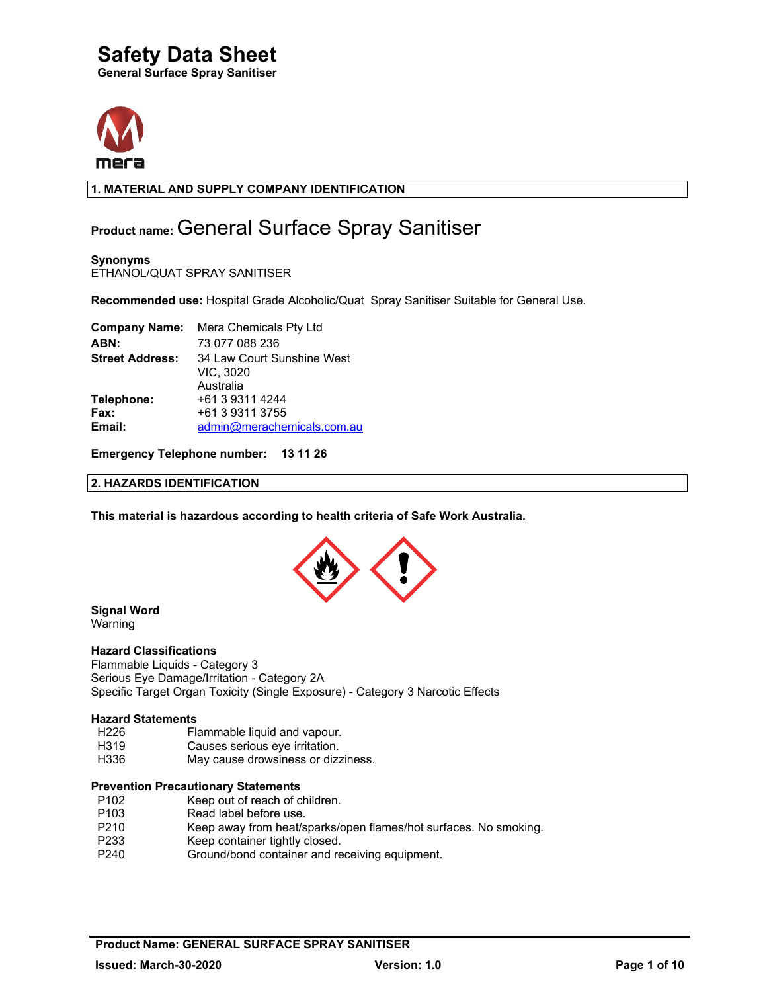



### **1. MATERIAL AND SUPPLY COMPANY IDENTIFICATION**

### **Product name:** General Surface Spray Sanitiser

**Synonyms**  ETHANOL/QUAT SPRAY SANITISER

**Recommended use:** Hospital Grade Alcoholic/Quat Spray Sanitiser Suitable for General Use.

|                        | <b>Company Name:</b> Mera Chemicals Pty Ltd |
|------------------------|---------------------------------------------|
| ABN:                   | 73 077 088 236                              |
| <b>Street Address:</b> | 34 Law Court Sunshine West                  |
|                        | VIC, 3020                                   |
|                        | Australia                                   |
| Telephone:             | +61 3 9311 4244                             |
| Fax:                   | +61 3 9311 3755                             |
| Email:                 | admin@merachemicals.com.au                  |

**Emergency Telephone number: 13 11 26** 

#### **2. HAZARDS IDENTIFICATION**

**This material is hazardous according to health criteria of Safe Work Australia.**



### **Signal Word**

Warning

#### **Hazard Classifications**

Flammable Liquids - Category 3 Serious Eye Damage/Irritation - Category 2A Specific Target Organ Toxicity (Single Exposure) - Category 3 Narcotic Effects

#### **Hazard Statements**

- H226 Flammable liquid and vapour.<br>H319 Causes serious eve irritation.
- Causes serious eye irritation.
- H336 May cause drowsiness or dizziness.

#### **Prevention Precautionary Statements**

- P102 Keep out of reach of children.
- P103 Read label before use.<br>P210 Keep away from heat/s
- Keep away from heat/sparks/open flames/hot surfaces. No smoking.
- P233 Keep container tightly closed.
- P240 Ground/bond container and receiving equipment.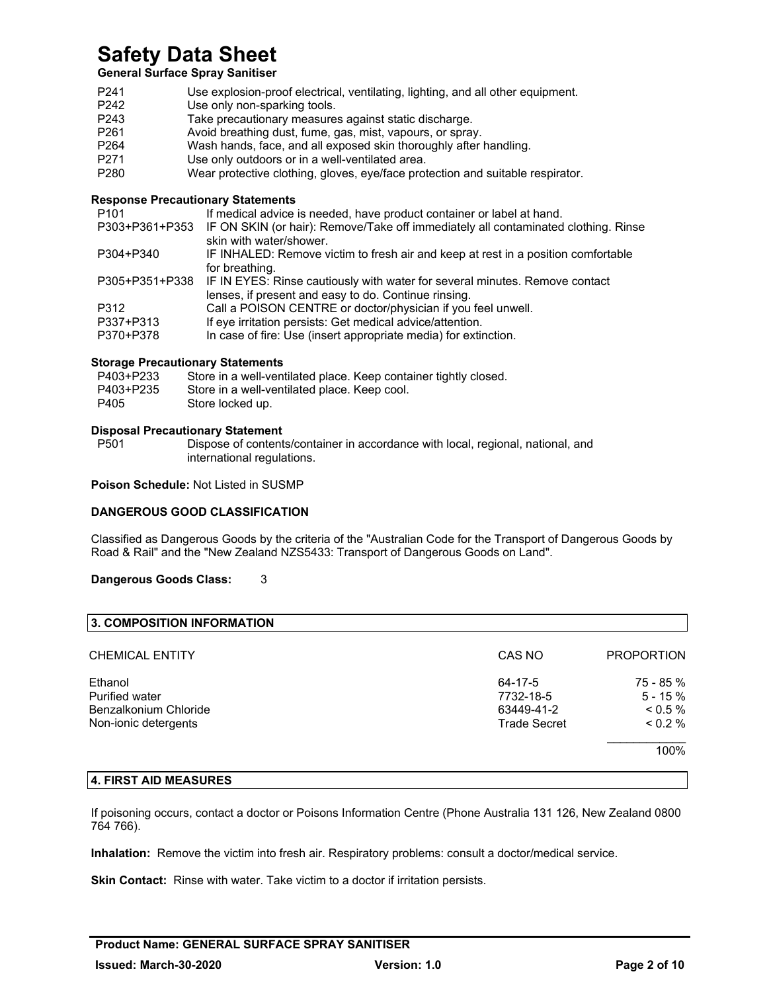### **General Surface Spray Sanitiser**

| P <sub>241</sub> | Use explosion-proof electrical, ventilating, lighting, and all other equipment. |
|------------------|---------------------------------------------------------------------------------|
| P <sub>242</sub> | Use only non-sparking tools.                                                    |
| P <sub>243</sub> | Take precautionary measures against static discharge.                           |
| P <sub>261</sub> | Avoid breathing dust, fume, gas, mist, vapours, or spray.                       |
| P <sub>264</sub> | Wash hands, face, and all exposed skin thoroughly after handling.               |
| P <sub>271</sub> | Use only outdoors or in a well-ventilated area.                                 |
| P <sub>280</sub> | Wear protective clothing, gloves, eye/face protection and suitable respirator.  |

### **Response Precautionary Statements**

| If medical advice is needed, have product container or label at hand.                      |
|--------------------------------------------------------------------------------------------|
| IF ON SKIN (or hair): Remove/Take off immediately all contaminated clothing. Rinse         |
| skin with water/shower.                                                                    |
| IF INHALED: Remove victim to fresh air and keep at rest in a position comfortable          |
| for breathing.                                                                             |
| P305+P351+P338 IF IN EYES: Rinse cautiously with water for several minutes. Remove contact |
| lenses, if present and easy to do. Continue rinsing.                                       |
| Call a POISON CENTRE or doctor/physician if you feel unwell.                               |
| If eye irritation persists: Get medical advice/attention.                                  |
| In case of fire: Use (insert appropriate media) for extinction.                            |
|                                                                                            |

### **Storage Precautionary Statements**

| P403+P233 | Store in a well-ventilated place. Keep container tightly closed. |
|-----------|------------------------------------------------------------------|
| P403+P235 | Store in a well-ventilated place. Keep cool.                     |
| P405      | Store locked up.                                                 |

## **Disposal Precautionary Statement**

Dispose of contents/container in accordance with local, regional, national, and international regulations.

**Poison Schedule:** Not Listed in SUSMP

#### **DANGEROUS GOOD CLASSIFICATION**

Classified as Dangerous Goods by the criteria of the "Australian Code for the Transport of Dangerous Goods by Road & Rail" and the "New Zealand NZS5433: Transport of Dangerous Goods on Land".

#### **Dangerous Goods Class:** 3

| CAS NO              | <b>PROPORTION</b> |
|---------------------|-------------------|
| 64-17-5             | 75 - 85 %         |
| 7732-18-5           | $5 - 15%$         |
| 63449-41-2          | $0.5\%$           |
| <b>Trade Secret</b> | $0.2\%$           |
|                     | 100%              |
|                     |                   |

#### **4. FIRST AID MEASURES**

If poisoning occurs, contact a doctor or Poisons Information Centre (Phone Australia 131 126, New Zealand 0800 764 766).

**Inhalation:** Remove the victim into fresh air. Respiratory problems: consult a doctor/medical service.

**Skin Contact:** Rinse with water. Take victim to a doctor if irritation persists.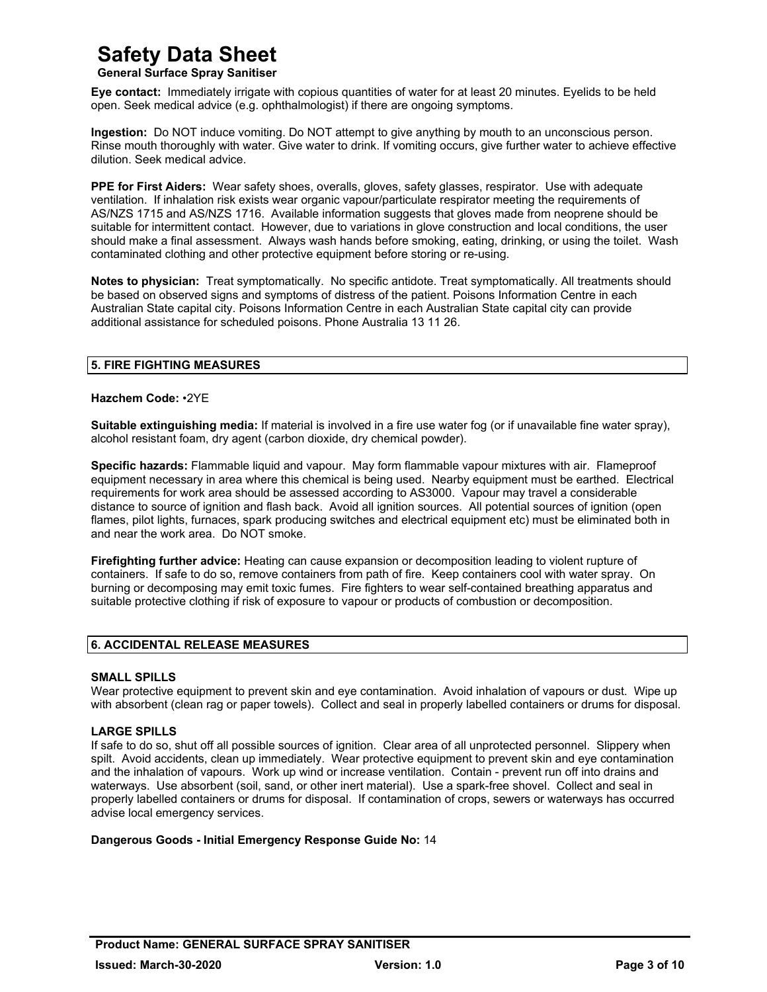### **General Surface Spray Sanitiser**

**Eye contact:** Immediately irrigate with copious quantities of water for at least 20 minutes. Eyelids to be held open. Seek medical advice (e.g. ophthalmologist) if there are ongoing symptoms.

**Ingestion:** Do NOT induce vomiting. Do NOT attempt to give anything by mouth to an unconscious person. Rinse mouth thoroughly with water. Give water to drink. If vomiting occurs, give further water to achieve effective dilution. Seek medical advice.

**PPE for First Aiders:** Wear safety shoes, overalls, gloves, safety glasses, respirator. Use with adequate ventilation. If inhalation risk exists wear organic vapour/particulate respirator meeting the requirements of AS/NZS 1715 and AS/NZS 1716. Available information suggests that gloves made from neoprene should be suitable for intermittent contact. However, due to variations in glove construction and local conditions, the user should make a final assessment. Always wash hands before smoking, eating, drinking, or using the toilet. Wash contaminated clothing and other protective equipment before storing or re-using.

**Notes to physician:** Treat symptomatically. No specific antidote. Treat symptomatically. All treatments should be based on observed signs and symptoms of distress of the patient. Poisons Information Centre in each Australian State capital city. Poisons Information Centre in each Australian State capital city can provide additional assistance for scheduled poisons. Phone Australia 13 11 26.

### **5. FIRE FIGHTING MEASURES**

#### **Hazchem Code:** •2YE

**Suitable extinguishing media:** If material is involved in a fire use water fog (or if unavailable fine water spray), alcohol resistant foam, dry agent (carbon dioxide, dry chemical powder).

**Specific hazards:** Flammable liquid and vapour. May form flammable vapour mixtures with air. Flameproof equipment necessary in area where this chemical is being used. Nearby equipment must be earthed. Electrical requirements for work area should be assessed according to AS3000. Vapour may travel a considerable distance to source of ignition and flash back. Avoid all ignition sources. All potential sources of ignition (open flames, pilot lights, furnaces, spark producing switches and electrical equipment etc) must be eliminated both in and near the work area. Do NOT smoke.

**Firefighting further advice:** Heating can cause expansion or decomposition leading to violent rupture of containers. If safe to do so, remove containers from path of fire. Keep containers cool with water spray. On burning or decomposing may emit toxic fumes. Fire fighters to wear self-contained breathing apparatus and suitable protective clothing if risk of exposure to vapour or products of combustion or decomposition.

#### **6. ACCIDENTAL RELEASE MEASURES**

#### **SMALL SPILLS**

Wear protective equipment to prevent skin and eye contamination. Avoid inhalation of vapours or dust. Wipe up with absorbent (clean rag or paper towels). Collect and seal in properly labelled containers or drums for disposal.

#### **LARGE SPILLS**

If safe to do so, shut off all possible sources of ignition. Clear area of all unprotected personnel. Slippery when spilt. Avoid accidents, clean up immediately. Wear protective equipment to prevent skin and eye contamination and the inhalation of vapours. Work up wind or increase ventilation. Contain - prevent run off into drains and waterways. Use absorbent (soil, sand, or other inert material). Use a spark-free shovel. Collect and seal in properly labelled containers or drums for disposal. If contamination of crops, sewers or waterways has occurred advise local emergency services.

#### **Dangerous Goods - Initial Emergency Response Guide No:** 14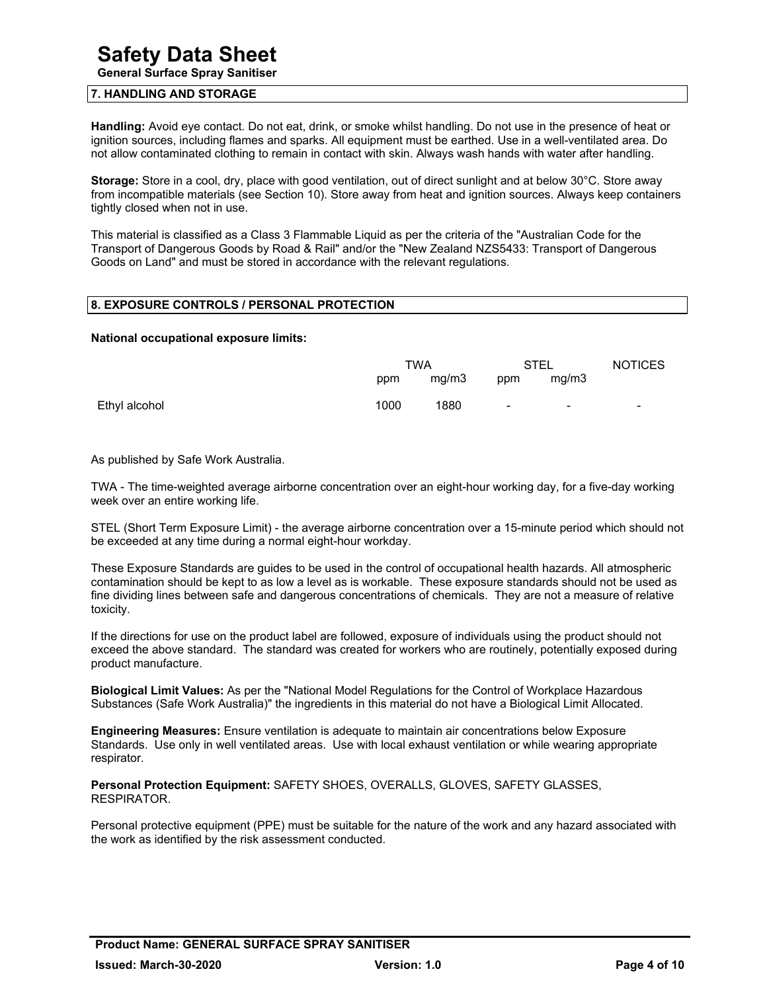**General Surface Spray Sanitiser** 

#### **7. HANDLING AND STORAGE**

**Handling:** Avoid eye contact. Do not eat, drink, or smoke whilst handling. Do not use in the presence of heat or ignition sources, including flames and sparks. All equipment must be earthed. Use in a well-ventilated area. Do not allow contaminated clothing to remain in contact with skin. Always wash hands with water after handling.

**Storage:** Store in a cool, dry, place with good ventilation, out of direct sunlight and at below 30°C. Store away from incompatible materials (see Section 10). Store away from heat and ignition sources. Always keep containers tightly closed when not in use.

This material is classified as a Class 3 Flammable Liquid as per the criteria of the "Australian Code for the Transport of Dangerous Goods by Road & Rail" and/or the "New Zealand NZS5433: Transport of Dangerous Goods on Land" and must be stored in accordance with the relevant regulations.

#### **8. EXPOSURE CONTROLS / PERSONAL PROTECTION**

#### **National occupational exposure limits:**

|               |      | <b>TWA</b> |        | STEL                     | <b>NOTICES</b> |
|---------------|------|------------|--------|--------------------------|----------------|
|               | ppm  | mg/m3      | ppm    | mg/m3                    |                |
| Ethyl alcohol | 1000 | 1880       | $\sim$ | $\overline{\phantom{a}}$ | ۰.             |

As published by Safe Work Australia.

TWA - The time-weighted average airborne concentration over an eight-hour working day, for a five-day working week over an entire working life.

STEL (Short Term Exposure Limit) - the average airborne concentration over a 15-minute period which should not be exceeded at any time during a normal eight-hour workday.

These Exposure Standards are guides to be used in the control of occupational health hazards. All atmospheric contamination should be kept to as low a level as is workable. These exposure standards should not be used as fine dividing lines between safe and dangerous concentrations of chemicals. They are not a measure of relative toxicity.

If the directions for use on the product label are followed, exposure of individuals using the product should not exceed the above standard. The standard was created for workers who are routinely, potentially exposed during product manufacture.

**Biological Limit Values:** As per the "National Model Regulations for the Control of Workplace Hazardous Substances (Safe Work Australia)" the ingredients in this material do not have a Biological Limit Allocated.

**Engineering Measures:** Ensure ventilation is adequate to maintain air concentrations below Exposure Standards. Use only in well ventilated areas. Use with local exhaust ventilation or while wearing appropriate respirator.

**Personal Protection Equipment:** SAFETY SHOES, OVERALLS, GLOVES, SAFETY GLASSES, RESPIRATOR.

Personal protective equipment (PPE) must be suitable for the nature of the work and any hazard associated with the work as identified by the risk assessment conducted.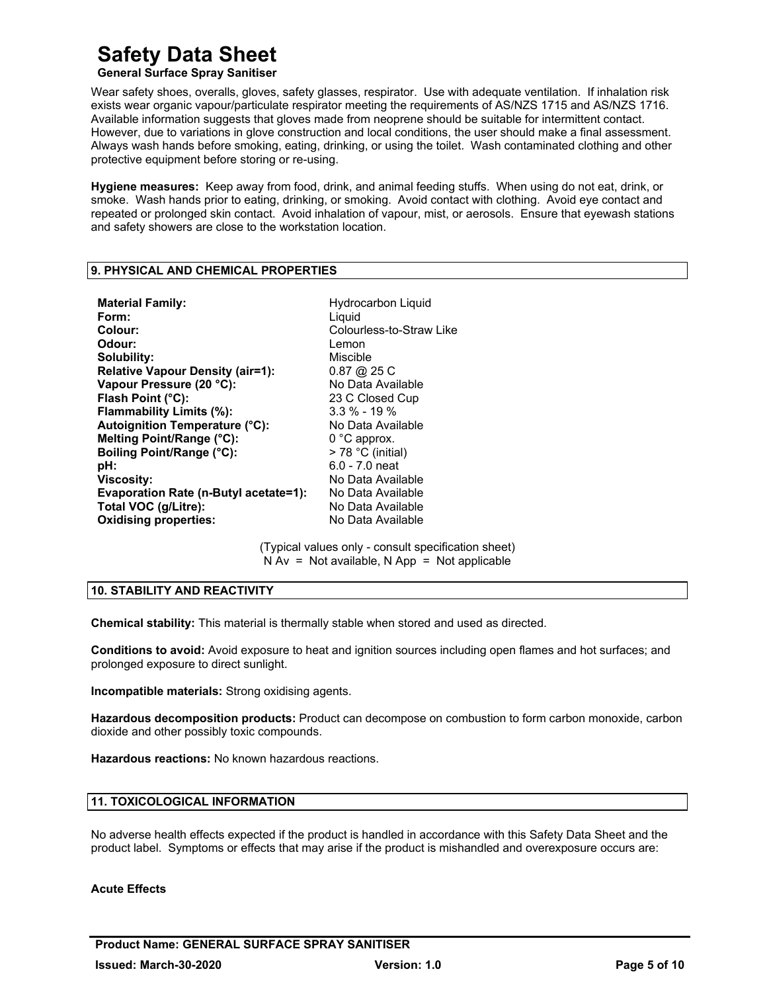### **General Surface Spray Sanitiser**

Wear safety shoes, overalls, gloves, safety glasses, respirator. Use with adequate ventilation. If inhalation risk exists wear organic vapour/particulate respirator meeting the requirements of AS/NZS 1715 and AS/NZS 1716. Available information suggests that gloves made from neoprene should be suitable for intermittent contact. However, due to variations in glove construction and local conditions, the user should make a final assessment. Always wash hands before smoking, eating, drinking, or using the toilet. Wash contaminated clothing and other protective equipment before storing or re-using.

**Hygiene measures:** Keep away from food, drink, and animal feeding stuffs. When using do not eat, drink, or smoke. Wash hands prior to eating, drinking, or smoking. Avoid contact with clothing. Avoid eye contact and repeated or prolonged skin contact. Avoid inhalation of vapour, mist, or aerosols. Ensure that eyewash stations and safety showers are close to the workstation location.

#### **9. PHYSICAL AND CHEMICAL PROPERTIES**

| Hydrocarbon Liquid<br>Liguid<br>Colourless-to-Straw Like<br>Lemon<br>Miscible<br>$0.87 \; @.25 \;C$<br>No Data Available<br>23 C Closed Cup<br>$3.3\% - 19\%$<br>No Data Available<br>$0^{\circ}$ C approx.<br>$>$ 78 °C (initial)<br>$6.0 - 7.0$ neat<br>No Data Available<br>No Data Available |
|--------------------------------------------------------------------------------------------------------------------------------------------------------------------------------------------------------------------------------------------------------------------------------------------------|
| No Data Available<br>No Data Available                                                                                                                                                                                                                                                           |
|                                                                                                                                                                                                                                                                                                  |

(Typical values only - consult specification sheet)  $N Av = Not available$ ,  $N App = Not applicable$ 

#### **10. STABILITY AND REACTIVITY**

**Chemical stability:** This material is thermally stable when stored and used as directed.

**Conditions to avoid:** Avoid exposure to heat and ignition sources including open flames and hot surfaces; and prolonged exposure to direct sunlight.

**Incompatible materials:** Strong oxidising agents.

**Hazardous decomposition products:** Product can decompose on combustion to form carbon monoxide, carbon dioxide and other possibly toxic compounds.

**Hazardous reactions:** No known hazardous reactions.

#### **11. TOXICOLOGICAL INFORMATION**

No adverse health effects expected if the product is handled in accordance with this Safety Data Sheet and the product label. Symptoms or effects that may arise if the product is mishandled and overexposure occurs are:

#### **Acute Effects**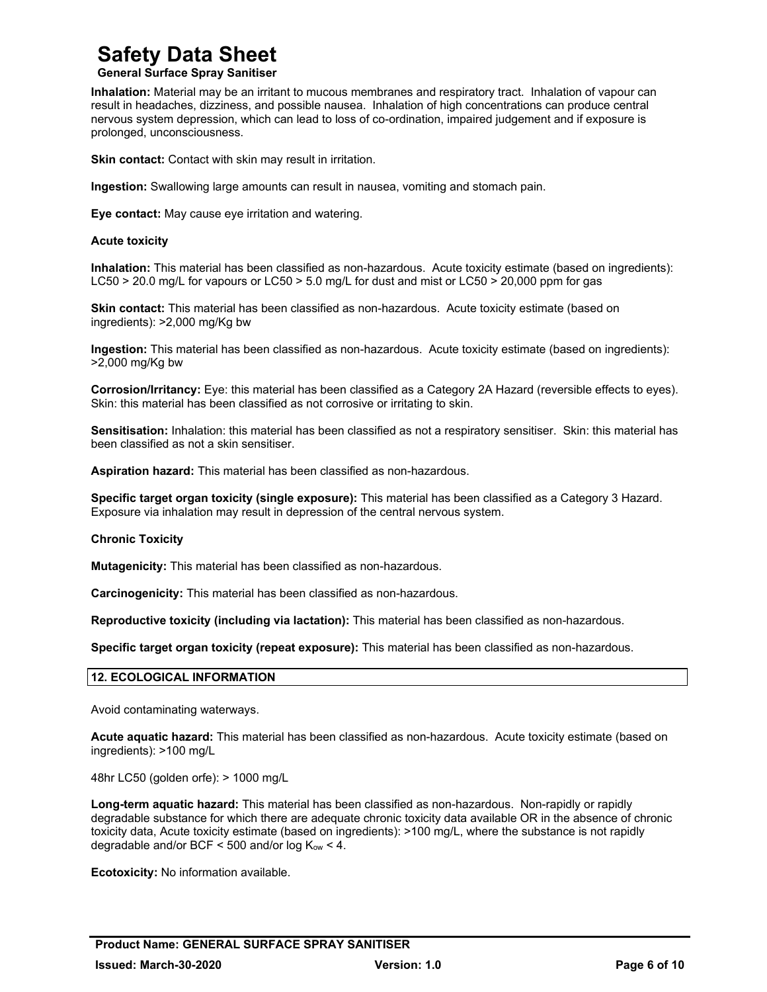#### **General Surface Spray Sanitiser**

**Inhalation:** Material may be an irritant to mucous membranes and respiratory tract. Inhalation of vapour can result in headaches, dizziness, and possible nausea. Inhalation of high concentrations can produce central nervous system depression, which can lead to loss of co-ordination, impaired judgement and if exposure is prolonged, unconsciousness.

**Skin contact:** Contact with skin may result in irritation.

**Ingestion:** Swallowing large amounts can result in nausea, vomiting and stomach pain.

**Eye contact:** May cause eye irritation and watering.

#### **Acute toxicity**

**Inhalation:** This material has been classified as non-hazardous. Acute toxicity estimate (based on ingredients): LC50 > 20.0 mg/L for vapours or LC50 > 5.0 mg/L for dust and mist or LC50 > 20,000 ppm for gas

**Skin contact:** This material has been classified as non-hazardous. Acute toxicity estimate (based on ingredients): >2,000 mg/Kg bw

**Ingestion:** This material has been classified as non-hazardous. Acute toxicity estimate (based on ingredients): >2,000 mg/Kg bw

**Corrosion/Irritancy:** Eye: this material has been classified as a Category 2A Hazard (reversible effects to eyes). Skin: this material has been classified as not corrosive or irritating to skin.

**Sensitisation:** Inhalation: this material has been classified as not a respiratory sensitiser. Skin: this material has been classified as not a skin sensitiser.

**Aspiration hazard:** This material has been classified as non-hazardous.

**Specific target organ toxicity (single exposure):** This material has been classified as a Category 3 Hazard. Exposure via inhalation may result in depression of the central nervous system.

#### **Chronic Toxicity**

**Mutagenicity:** This material has been classified as non-hazardous.

**Carcinogenicity:** This material has been classified as non-hazardous.

**Reproductive toxicity (including via lactation):** This material has been classified as non-hazardous.

**Specific target organ toxicity (repeat exposure):** This material has been classified as non-hazardous.

#### **12. ECOLOGICAL INFORMATION**

Avoid contaminating waterways.

**Acute aquatic hazard:** This material has been classified as non-hazardous. Acute toxicity estimate (based on ingredients): >100 mg/L

48hr LC50 (golden orfe): > 1000 mg/L

**Long-term aquatic hazard:** This material has been classified as non-hazardous. Non-rapidly or rapidly degradable substance for which there are adequate chronic toxicity data available OR in the absence of chronic toxicity data, Acute toxicity estimate (based on ingredients): >100 mg/L, where the substance is not rapidly degradable and/or BCF < 500 and/or log  $K_{ow}$  < 4.

**Ecotoxicity:** No information available.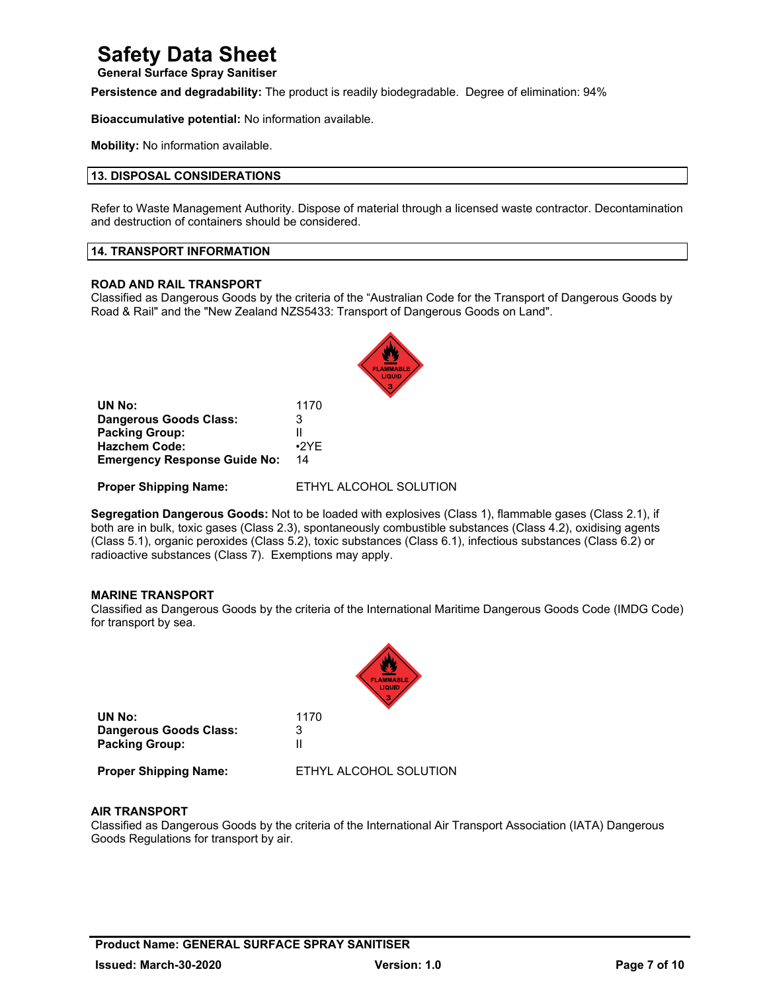**General Surface Spray Sanitiser** 

**Persistence and degradability:** The product is readily biodegradable. Degree of elimination: 94%

**Bioaccumulative potential:** No information available.

**Mobility:** No information available.

#### **13. DISPOSAL CONSIDERATIONS**

Refer to Waste Management Authority. Dispose of material through a licensed waste contractor. Decontamination and destruction of containers should be considered.

#### **14. TRANSPORT INFORMATION**

#### **ROAD AND RAIL TRANSPORT**

Classified as Dangerous Goods by the criteria of the "Australian Code for the Transport of Dangerous Goods by Road & Rail" and the "New Zealand NZS5433: Transport of Dangerous Goods on Land".

| 1170        |  |
|-------------|--|
| 3           |  |
|             |  |
| $\cdot$ 2YF |  |
| 14          |  |
|             |  |

**Proper Shipping Name:** ETHYL ALCOHOL SOLUTION

**Segregation Dangerous Goods:** Not to be loaded with explosives (Class 1), flammable gases (Class 2.1), if both are in bulk, toxic gases (Class 2.3), spontaneously combustible substances (Class 4.2), oxidising agents (Class 5.1), organic peroxides (Class 5.2), toxic substances (Class 6.1), infectious substances (Class 6.2) or radioactive substances (Class 7). Exemptions may apply.

#### **MARINE TRANSPORT**

Classified as Dangerous Goods by the criteria of the International Maritime Dangerous Goods Code (IMDG Code) for transport by sea.



#### **AIR TRANSPORT**

Classified as Dangerous Goods by the criteria of the International Air Transport Association (IATA) Dangerous Goods Regulations for transport by air.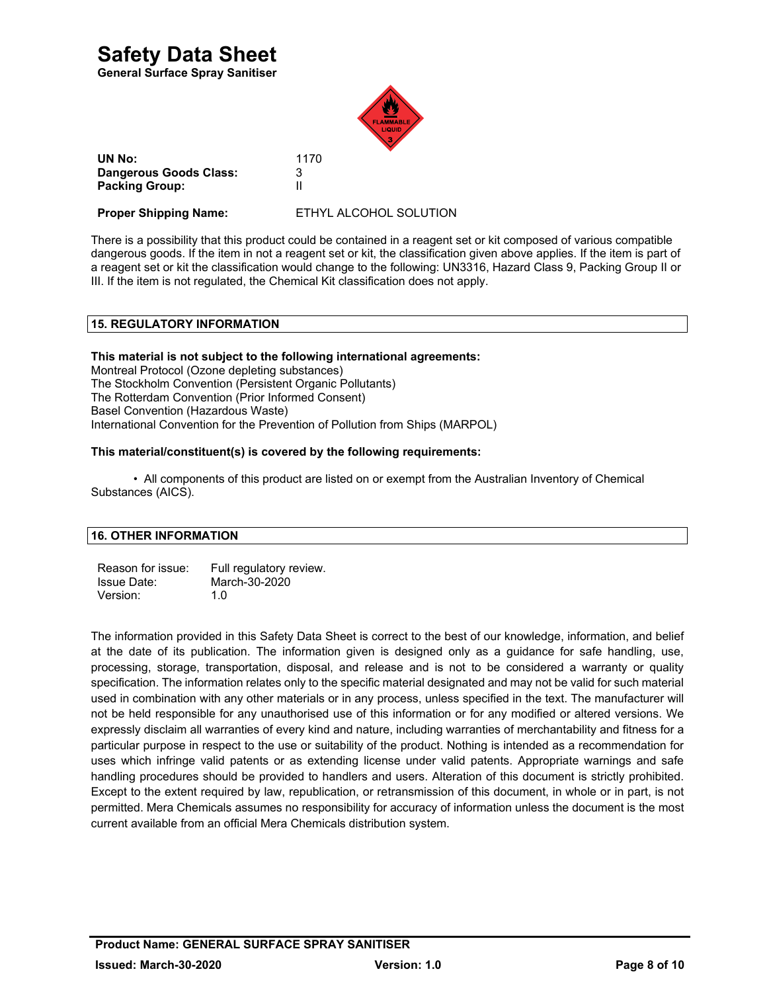**General Surface Spray Sanitiser** 



 **UN No:**<sup>1170</sup> **Dangerous Goods Class:** 3 **Packing Group:** II

**Proper Shipping Name:** ETHYL ALCOHOL SOLUTION

There is a possibility that this product could be contained in a reagent set or kit composed of various compatible dangerous goods. If the item in not a reagent set or kit, the classification given above applies. If the item is part of a reagent set or kit the classification would change to the following: UN3316, Hazard Class 9, Packing Group II or III. If the item is not regulated, the Chemical Kit classification does not apply.

### **15. REGULATORY INFORMATION**

#### **This material is not subject to the following international agreements:**

Montreal Protocol (Ozone depleting substances) The Stockholm Convention (Persistent Organic Pollutants) The Rotterdam Convention (Prior Informed Consent) Basel Convention (Hazardous Waste) International Convention for the Prevention of Pollution from Ships (MARPOL)

#### **This material/constituent(s) is covered by the following requirements:**

 • All components of this product are listed on or exempt from the Australian Inventory of Chemical Substances (AICS).

#### **16. OTHER INFORMATION**

Reason for issue: Full regulatory review. Issue Date: March-30-2020 Version: 1.0

The information provided in this Safety Data Sheet is correct to the best of our knowledge, information, and belief at the date of its publication. The information given is designed only as a guidance for safe handling, use, processing, storage, transportation, disposal, and release and is not to be considered a warranty or quality specification. The information relates only to the specific material designated and may not be valid for such material used in combination with any other materials or in any process, unless specified in the text. The manufacturer will not be held responsible for any unauthorised use of this information or for any modified or altered versions. We expressly disclaim all warranties of every kind and nature, including warranties of merchantability and fitness for a particular purpose in respect to the use or suitability of the product. Nothing is intended as a recommendation for uses which infringe valid patents or as extending license under valid patents. Appropriate warnings and safe handling procedures should be provided to handlers and users. Alteration of this document is strictly prohibited. Except to the extent required by law, republication, or retransmission of this document, in whole or in part, is not permitted. Mera Chemicals assumes no responsibility for accuracy of information unless the document is the most current available from an official Mera Chemicals distribution system.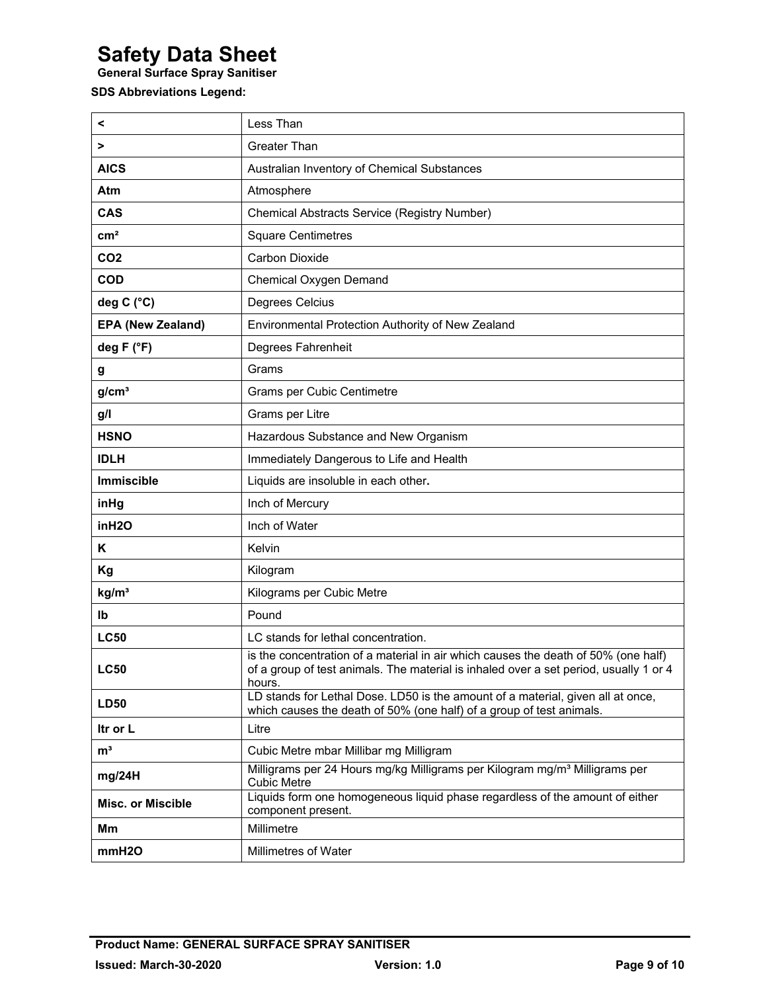**General Surface Spray Sanitiser** 

### **SDS Abbreviations Legend:**

| <                        | Less Than                                                                                                                                                                             |
|--------------------------|---------------------------------------------------------------------------------------------------------------------------------------------------------------------------------------|
| >                        | <b>Greater Than</b>                                                                                                                                                                   |
| <b>AICS</b>              | Australian Inventory of Chemical Substances                                                                                                                                           |
| Atm                      | Atmosphere                                                                                                                                                                            |
| <b>CAS</b>               | <b>Chemical Abstracts Service (Registry Number)</b>                                                                                                                                   |
| cm <sup>2</sup>          | <b>Square Centimetres</b>                                                                                                                                                             |
| CO <sub>2</sub>          | <b>Carbon Dioxide</b>                                                                                                                                                                 |
| <b>COD</b>               | Chemical Oxygen Demand                                                                                                                                                                |
| deg C (°C)               | Degrees Celcius                                                                                                                                                                       |
| <b>EPA (New Zealand)</b> | Environmental Protection Authority of New Zealand                                                                                                                                     |
| deg F (°F)               | Degrees Fahrenheit                                                                                                                                                                    |
| g                        | Grams                                                                                                                                                                                 |
| g/cm <sup>3</sup>        | Grams per Cubic Centimetre                                                                                                                                                            |
| g/l                      | Grams per Litre                                                                                                                                                                       |
| <b>HSNO</b>              | Hazardous Substance and New Organism                                                                                                                                                  |
| <b>IDLH</b>              | Immediately Dangerous to Life and Health                                                                                                                                              |
| <b>Immiscible</b>        | Liquids are insoluble in each other.                                                                                                                                                  |
| inHg                     | Inch of Mercury                                                                                                                                                                       |
| inH2O                    | Inch of Water                                                                                                                                                                         |
| Κ                        | Kelvin                                                                                                                                                                                |
| Kg                       | Kilogram                                                                                                                                                                              |
| kg/m <sup>3</sup>        | Kilograms per Cubic Metre                                                                                                                                                             |
| Ib                       | Pound                                                                                                                                                                                 |
| <b>LC50</b>              | LC stands for lethal concentration.                                                                                                                                                   |
| <b>LC50</b>              | is the concentration of a material in air which causes the death of 50% (one half)<br>of a group of test animals. The material is inhaled over a set period, usually 1 or 4<br>hours. |
| <b>LD50</b>              | LD stands for Lethal Dose. LD50 is the amount of a material, given all at once,<br>which causes the death of 50% (one half) of a group of test animals.                               |
| Itr or L                 | Litre                                                                                                                                                                                 |
| m <sup>3</sup>           | Cubic Metre mbar Millibar mg Milligram                                                                                                                                                |
| mg/24H                   | Milligrams per 24 Hours mg/kg Milligrams per Kilogram mg/m <sup>3</sup> Milligrams per<br><b>Cubic Metre</b>                                                                          |
| <b>Misc. or Miscible</b> | Liquids form one homogeneous liquid phase regardless of the amount of either<br>component present.                                                                                    |
| Mm                       | Millimetre                                                                                                                                                                            |
| mmH2O                    | Millimetres of Water                                                                                                                                                                  |